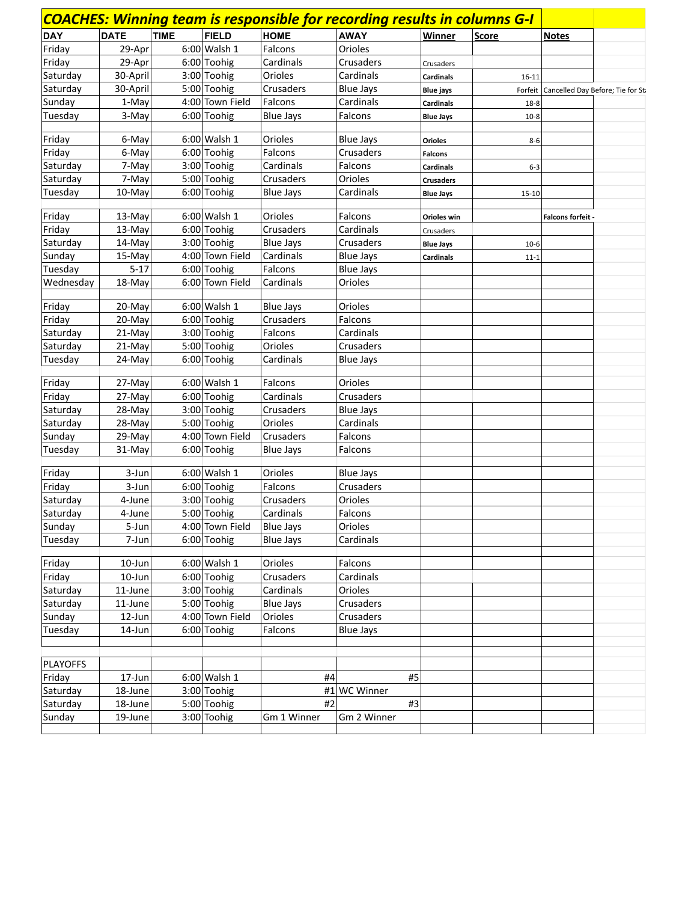|            |             |             |                 |                  | <b>COACHES: Winning team is responsible for recording results in columns G-I</b> |                  |           |                   |                                           |
|------------|-------------|-------------|-----------------|------------------|----------------------------------------------------------------------------------|------------------|-----------|-------------------|-------------------------------------------|
| <b>DAY</b> | <b>DATE</b> | <b>TIME</b> | <b>FIELD</b>    | <b>HOME</b>      | <b>AWAY</b>                                                                      | Winner           | Score     | <b>Notes</b>      |                                           |
| Friday     | 29-Apr      |             | $6:00$ Walsh 1  | Falcons          | Orioles                                                                          |                  |           |                   |                                           |
| Friday     | 29-Apr      |             | 6:00 Toohig     | Cardinals        | Crusaders                                                                        | Crusaders        |           |                   |                                           |
| Saturday   | 30-April    |             | 3:00 Toohig     | Orioles          | Cardinals                                                                        | <b>Cardinals</b> | $16 - 11$ |                   |                                           |
| Saturday   | 30-April    |             | 5:00 Toohig     | Crusaders        | <b>Blue Jays</b>                                                                 | <b>Blue jays</b> |           |                   | Forfeit Cancelled Day Before; Tie for St. |
| Sunday     | 1-May       |             | 4:00 Town Field | Falcons          | Cardinals                                                                        | <b>Cardinals</b> | $18 - 8$  |                   |                                           |
| Tuesday    | 3-May       |             | 6:00 Toohig     | <b>Blue Jays</b> | Falcons                                                                          | <b>Blue Jays</b> | $10-8$    |                   |                                           |
|            |             |             |                 |                  |                                                                                  |                  |           |                   |                                           |
| Friday     | 6-May       |             | $6:00$ Walsh 1  | Orioles          | <b>Blue Jays</b>                                                                 | <b>Orioles</b>   | $8 - 6$   |                   |                                           |
| Friday     | 6-May       |             | $6:00$ Toohig   | Falcons          | Crusaders                                                                        | <b>Falcons</b>   |           |                   |                                           |
| Saturday   | 7-May       |             | 3:00 Toohig     | Cardinals        | Falcons                                                                          | <b>Cardinals</b> | $6 - 3$   |                   |                                           |
| Saturday   | 7-May       |             | 5:00 Toohig     | Crusaders        | Orioles                                                                          | <b>Crusaders</b> |           |                   |                                           |
| Tuesday    | 10-May      |             | 6:00 Toohig     | <b>Blue Jays</b> | Cardinals                                                                        | <b>Blue Jays</b> | $15 - 10$ |                   |                                           |
|            |             |             |                 |                  |                                                                                  |                  |           |                   |                                           |
| Friday     | 13-May      |             | $6:00$ Walsh 1  | Orioles          | Falcons                                                                          | Orioles win      |           | Falcons forfeit - |                                           |
| Friday     | $13-May$    |             | 6:00 Toohig     | Crusaders        | Cardinals                                                                        | Crusaders        |           |                   |                                           |
| Saturday   | 14-May      |             | 3:00 Toohig     | <b>Blue Jays</b> | Crusaders                                                                        | <b>Blue Jays</b> | $10-6$    |                   |                                           |
| Sunday     | 15-May      |             | 4:00 Town Field | Cardinals        | <b>Blue Jays</b>                                                                 | <b>Cardinals</b> | $11 - 1$  |                   |                                           |
| Tuesday    | $5 - 17$    |             | $6:00$ Toohig   | Falcons          | <b>Blue Jays</b>                                                                 |                  |           |                   |                                           |
| Wednesday  | 18-May      |             | 6:00 Town Field | Cardinals        | Orioles                                                                          |                  |           |                   |                                           |
|            |             |             |                 |                  |                                                                                  |                  |           |                   |                                           |
| Friday     | 20-May      |             | $6:00$ Walsh 1  | <b>Blue Jays</b> | Orioles                                                                          |                  |           |                   |                                           |
| Friday     | 20-May      |             | 6:00 Toohig     | Crusaders        | Falcons                                                                          |                  |           |                   |                                           |
| Saturday   | 21-May      |             | 3:00 Toohig     | Falcons          | Cardinals                                                                        |                  |           |                   |                                           |
| Saturday   | 21-May      |             | 5:00 Toohig     | Orioles          | Crusaders                                                                        |                  |           |                   |                                           |
| Tuesday    | 24-May      |             | 6:00 Toohig     | Cardinals        | <b>Blue Jays</b>                                                                 |                  |           |                   |                                           |
| Friday     | 27-May      |             | $6:00$ Walsh 1  | Falcons          | Orioles                                                                          |                  |           |                   |                                           |
| Friday     | 27-May      |             | 6:00 Toohig     | Cardinals        | Crusaders                                                                        |                  |           |                   |                                           |
| Saturday   | 28-May      |             | 3:00 Toohig     | Crusaders        | <b>Blue Jays</b>                                                                 |                  |           |                   |                                           |
| Saturday   | 28-May      |             | 5:00 Toohig     | Orioles          | Cardinals                                                                        |                  |           |                   |                                           |
| Sunday     | 29-May      |             | 4:00 Town Field | Crusaders        | Falcons                                                                          |                  |           |                   |                                           |
| Tuesday    | 31-May      |             | 6:00 Toohig     | <b>Blue Jays</b> | Falcons                                                                          |                  |           |                   |                                           |
|            |             |             |                 |                  |                                                                                  |                  |           |                   |                                           |
| Friday     | 3-Jun       |             | $6:00$ Walsh 1  | Orioles          | <b>Blue Jays</b>                                                                 |                  |           |                   |                                           |
| Friday     | 3-Jun       |             | 6:00 Toohig     | Falcons          | Crusaders                                                                        |                  |           |                   |                                           |
| Saturday   | 4-June      |             | 3:00 Toohig     | Crusaders        | Orioles                                                                          |                  |           |                   |                                           |
| Saturday   | 4-June      |             | 5:00 Toohig     | Cardinals        | Falcons                                                                          |                  |           |                   |                                           |
| Sunday     | 5-Jun       |             | 4:00 Town Field | <b>Blue Jays</b> | Orioles                                                                          |                  |           |                   |                                           |
| Tuesday    | 7-Jun       |             | 6:00 Toohig     | <b>Blue Jays</b> | Cardinals                                                                        |                  |           |                   |                                           |
|            |             |             |                 |                  |                                                                                  |                  |           |                   |                                           |
| Friday     | 10-Jun      |             | $6:00$ Walsh 1  | Orioles          | Falcons                                                                          |                  |           |                   |                                           |
| Friday     | $10$ -Jun   |             | $6:00$ Toohig   | Crusaders        | Cardinals                                                                        |                  |           |                   |                                           |
| Saturday   | 11-June     |             | 3:00 Toohig     | Cardinals        | Orioles                                                                          |                  |           |                   |                                           |
| Saturday   | 11-June     |             | 5:00 Toohig     | <b>Blue Jays</b> | Crusaders                                                                        |                  |           |                   |                                           |
| Sunday     | 12-Jun      |             | 4:00 Town Field | Orioles          | Crusaders                                                                        |                  |           |                   |                                           |
| Tuesday    | 14-Jun      |             | $6:00$ Toohig   | Falcons          | <b>Blue Jays</b>                                                                 |                  |           |                   |                                           |
|            |             |             |                 |                  |                                                                                  |                  |           |                   |                                           |
|            |             |             |                 |                  |                                                                                  |                  |           |                   |                                           |
| PLAYOFFS   |             |             |                 |                  |                                                                                  |                  |           |                   |                                           |
| Friday     | 17-Jun      |             | $6:00$ Walsh 1  | #4               | #5                                                                               |                  |           |                   |                                           |
| Saturday   | 18-June     |             | 3:00 Toohig     |                  | #1 WC Winner                                                                     |                  |           |                   |                                           |
| Saturday   | 18-June     |             | 5:00 Toohig     | #2               | #3                                                                               |                  |           |                   |                                           |
| Sunday     | 19-June     |             | 3:00 Toohig     | Gm 1 Winner      | Gm 2 Winner                                                                      |                  |           |                   |                                           |
|            |             |             |                 |                  |                                                                                  |                  |           |                   |                                           |